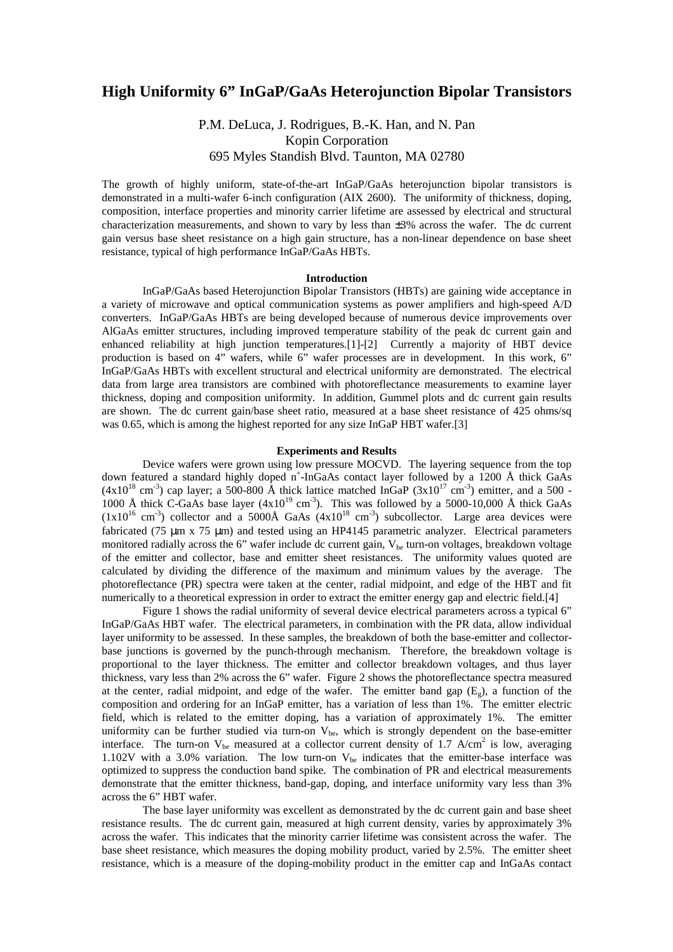# **High Uniformity 6" InGaP/GaAs Heterojunction Bipolar Transistors**

# P.M. DeLuca, J. Rodrigues, B.-K. Han, and N. Pan Kopin Corporation 695 Myles Standish Blvd. Taunton, MA 02780

The growth of highly uniform, state-of-the-art InGaP/GaAs heterojunction bipolar transistors is demonstrated in a multi-wafer 6-inch configuration (AIX 2600). The uniformity of thickness, doping, composition, interface properties and minority carrier lifetime are assessed by electrical and structural characterization measurements, and shown to vary by less than  $\pm 3\%$  across the wafer. The dc current gain versus base sheet resistance on a high gain structure, has a non-linear dependence on base sheet resistance, typical of high performance InGaP/GaAs HBTs.

## **Introduction**

InGaP/GaAs based Heterojunction Bipolar Transistors (HBTs) are gaining wide acceptance in a variety of microwave and optical communication systems as power amplifiers and high-speed A/D converters. InGaP/GaAs HBTs are being developed because of numerous device improvements over AlGaAs emitter structures, including improved temperature stability of the peak dc current gain and enhanced reliability at high junction temperatures.[1]-[2] Currently a majority of HBT device production is based on 4" wafers, while 6" wafer processes are in development. In this work, 6" InGaP/GaAs HBTs with excellent structural and electrical uniformity are demonstrated. The electrical data from large area transistors are combined with photoreflectance measurements to examine layer thickness, doping and composition uniformity. In addition, Gummel plots and dc current gain results are shown. The dc current gain/base sheet ratio, measured at a base sheet resistance of 425 ohms/sq was 0.65, which is among the highest reported for any size InGaP HBT wafer.[3]

## **Experiments and Results**

Device wafers were grown using low pressure MOCVD. The layering sequence from the top down featured a standard highly doped n<sup>+</sup>-InGaAs contact layer followed by a 1200 Å thick GaAs  $(4x10^{18} \text{ cm}^3)$  cap layer; a 500-800 Å thick lattice matched InGaP  $(3x10^{17} \text{ cm}^3)$  emitter, and a 500 -1000 Å thick C-GaAs base layer  $(4x10^{19} \text{ cm}^3)$ . This was followed by a 5000-10,000 Å thick GaAs  $(1x10^{16} \text{ cm}^3)$  collector and a 5000Å GaAs  $(4x10^{18} \text{ cm}^3)$  subcollector. Large area devices were fabricated (75  $\mu$ m x 75  $\mu$ m) and tested using an HP4145 parametric analyzer. Electrical parameters monitored radially across the 6" wafer include dc current gain,  $V_{be}$  turn-on voltages, breakdown voltage of the emitter and collector, base and emitter sheet resistances. The uniformity values quoted are calculated by dividing the difference of the maximum and minimum values by the average. The photoreflectance (PR) spectra were taken at the center, radial midpoint, and edge of the HBT and fit numerically to a theoretical expression in order to extract the emitter energy gap and electric field.[4]

Figure 1 shows the radial uniformity of several device electrical parameters across a typical 6" InGaP/GaAs HBT wafer. The electrical parameters, in combination with the PR data, allow individual layer uniformity to be assessed. In these samples, the breakdown of both the base-emitter and collectorbase junctions is governed by the punch-through mechanism. Therefore, the breakdown voltage is proportional to the layer thickness. The emitter and collector breakdown voltages, and thus layer thickness, vary less than 2% across the 6" wafer. Figure 2 shows the photoreflectance spectra measured at the center, radial midpoint, and edge of the wafer. The emitter band gap  $(E<sub>o</sub>)$ , a function of the composition and ordering for an InGaP emitter, has a variation of less than 1%. The emitter electric field, which is related to the emitter doping, has a variation of approximately 1%. The emitter uniformity can be further studied via turn-on  $V_{be}$ , which is strongly dependent on the base-emitter interface. The turn-on  $V_{be}$  measured at a collector current density of 1.7 A/cm<sup>2</sup> is low, averaging 1.102V with a 3.0% variation. The low turn-on  $V_{be}$  indicates that the emitter-base interface was optimized to suppress the conduction band spike. The combination of PR and electrical measurements demonstrate that the emitter thickness, band-gap, doping, and interface uniformity vary less than 3% across the 6" HBT wafer.

The base layer uniformity was excellent as demonstrated by the dc current gain and base sheet resistance results. The dc current gain, measured at high current density, varies by approximately 3% across the wafer. This indicates that the minority carrier lifetime was consistent across the wafer. The base sheet resistance, which measures the doping mobility product, varied by 2.5%. The emitter sheet resistance, which is a measure of the doping-mobility product in the emitter cap and InGaAs contact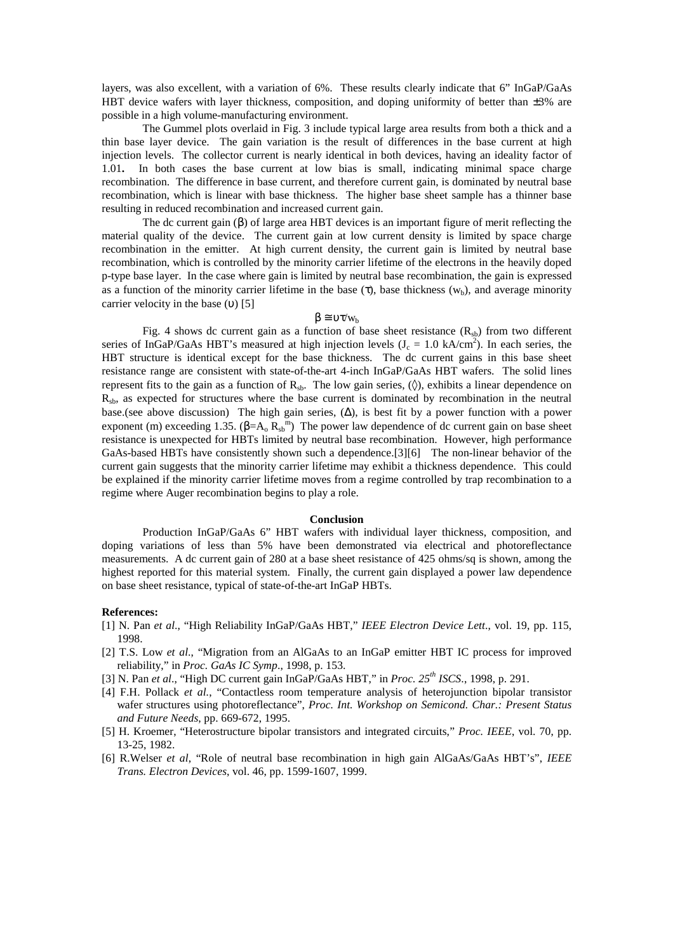layers, was also excellent, with a variation of 6%. These results clearly indicate that 6" InGaP/GaAs HBT device wafers with layer thickness, composition, and doping uniformity of better than  $\pm 3\%$  are possible in a high volume-manufacturing environment.

The Gummel plots overlaid in Fig. 3 include typical large area results from both a thick and a thin base layer device. The gain variation is the result of differences in the base current at high injection levels. The collector current is nearly identical in both devices, having an ideality factor of 1.01**.** In both cases the base current at low bias is small, indicating minimal space charge recombination. The difference in base current, and therefore current gain, is dominated by neutral base recombination, which is linear with base thickness. The higher base sheet sample has a thinner base resulting in reduced recombination and increased current gain.

The dc current gain  $(\beta)$  of large area HBT devices is an important figure of merit reflecting the material quality of the device. The current gain at low current density is limited by space charge recombination in the emitter. At high current density, the current gain is limited by neutral base recombination, which is controlled by the minority carrier lifetime of the electrons in the heavily doped p-type base layer. In the case where gain is limited by neutral base recombination, the gain is expressed as a function of the minority carrier lifetime in the base (τ), base thickness ( $w<sub>b</sub>$ ), and average minority carrier velocity in the base (υ) [5]

## $β ≡ υτ/w<sub>b</sub>$

Fig. 4 shows dc current gain as a function of base sheet resistance  $(R_{sb})$  from two different series of InGaP/GaAs HBT's measured at high injection levels  $(J_c = 1.0 \text{ kA/cm}^2)$ . In each series, the HBT structure is identical except for the base thickness. The dc current gains in this base sheet resistance range are consistent with state-of-the-art 4-inch InGaP/GaAs HBT wafers. The solid lines represent fits to the gain as a function of  $R_{sb}$ . The low gain series, ( $\Diamond$ ), exhibits a linear dependence on  $R<sub>sb</sub>$ , as expected for structures where the base current is dominated by recombination in the neutral base.(see above discussion) The high gain series,  $(\Delta)$ , is best fit by a power function with a power exponent (m) exceeding 1.35. ( $\beta = A_0 R_s^m$ ) The power law dependence of dc current gain on base sheet resistance is unexpected for HBTs limited by neutral base recombination. However, high performance GaAs-based HBTs have consistently shown such a dependence.[3][6] The non-linear behavior of the current gain suggests that the minority carrier lifetime may exhibit a thickness dependence. This could be explained if the minority carrier lifetime moves from a regime controlled by trap recombination to a regime where Auger recombination begins to play a role.

### **Conclusion**

Production InGaP/GaAs 6" HBT wafers with individual layer thickness, composition, and doping variations of less than 5% have been demonstrated via electrical and photoreflectance measurements. A dc current gain of 280 at a base sheet resistance of 425 ohms/sq is shown, among the highest reported for this material system. Finally, the current gain displayed a power law dependence on base sheet resistance, typical of state-of-the-art InGaP HBTs.

#### **References:**

- [1] N. Pan *et al*., "High Reliability InGaP/GaAs HBT," *IEEE Electron Device Lett*., vol. 19, pp. 115, 1998.
- [2] T.S. Low *et al*., "Migration from an AlGaAs to an InGaP emitter HBT IC process for improved reliability," in *Proc. GaAs IC Symp*., 1998, p. 153.
- [3] N. Pan *et al*., "High DC current gain InGaP/GaAs HBT," in *Proc. 25th ISCS*., 1998, p. 291.
- [4] F.H. Pollack *et al.*, "Contactless room temperature analysis of heterojunction bipolar transistor wafer structures using photoreflectance", *Proc. Int. Workshop on Semicond. Char.: Present Status and Future Needs*, pp. 669-672, 1995.
- [5] H. Kroemer, "Heterostructure bipolar transistors and integrated circuits," *Proc. IEEE*, vol. 70, pp. 13-25, 1982.
- [6] R.Welser *et al*, "Role of neutral base recombination in high gain AlGaAs/GaAs HBT's", *IEEE Trans. Electron Devices*, vol. 46, pp. 1599-1607, 1999.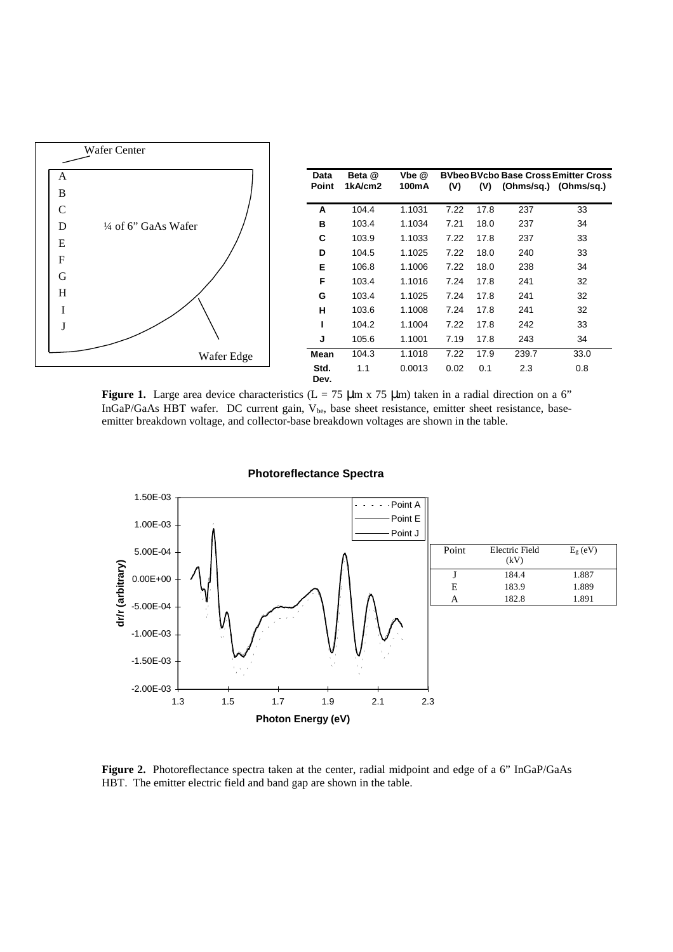

**Figure 1.** Large area device characteristics ( $L = 75 \mu m \times 75 \mu m$ ) taken in a radial direction on a 6" InGaP/GaAs HBT wafer. DC current gain,  $V_{be}$ , base sheet resistance, emitter sheet resistance, baseemitter breakdown voltage, and collector-base breakdown voltages are shown in the table.



**Photoreflectance Spectra**

Figure 2. Photoreflectance spectra taken at the center, radial midpoint and edge of a 6" InGaP/GaAs HBT. The emitter electric field and band gap are shown in the table.